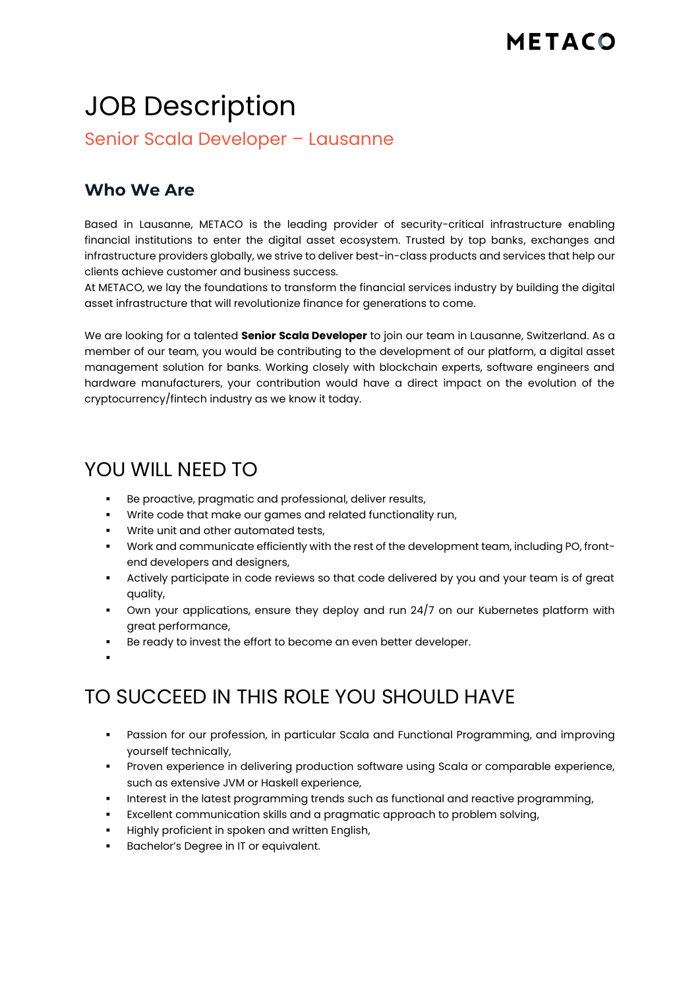# JOB Description

Senior Scala Developer – Lausanne

#### **Who We Are**

Based in Lausanne, METACO is the leading provider of security-critical infrastructure enabling financial institutions to enter the digital asset ecosystem. Trusted by top banks, exchanges and infrastructure providers globally, we strive to deliver best-in-class products and services that help our clients achieve customer and business success.

At METACO, we lay the foundations to transform the financial services industry by building the digital asset infrastructure that will revolutionize finance for generations to come.

We are looking for a talented **Senior Scala Developer** to join our team in Lausanne, Switzerland. As a member of our team, you would be contributing to the development of our platform, a digital asset management solution for banks. Working closely with blockchain experts, software engineers and hardware manufacturers, your contribution would have a direct impact on the evolution of the cryptocurrency/fintech industry as we know it today.

## YOU WILL NEED TO

- Be proactive, pragmatic and professional, deliver results,
- Write code that make our games and related functionality run,
- **•** Write unit and other automated tests,
- Work and communicate efficiently with the rest of the development team, including PO, frontend developers and designers,
- Actively participate in code reviews so that code delivered by you and your team is of great quality,
- Own your applications, ensure they deploy and run 24/7 on our Kubernetes platform with great performance,
- Be ready to invest the effort to become an even better developer.
- ▪

# TO SUCCEED IN THIS ROLE YOU SHOULD HAVE

- Passion for our profession, in particular Scala and Functional Programming, and improving yourself technically,
- Proven experience in delivering production software using Scala or comparable experience, such as extensive JVM or Haskell experience,
- Interest in the latest programming trends such as functional and reactive programming,
- Excellent communication skills and a pragmatic approach to problem solving,
- Highly proficient in spoken and written English,
- Bachelor's Degree in IT or equivalent.